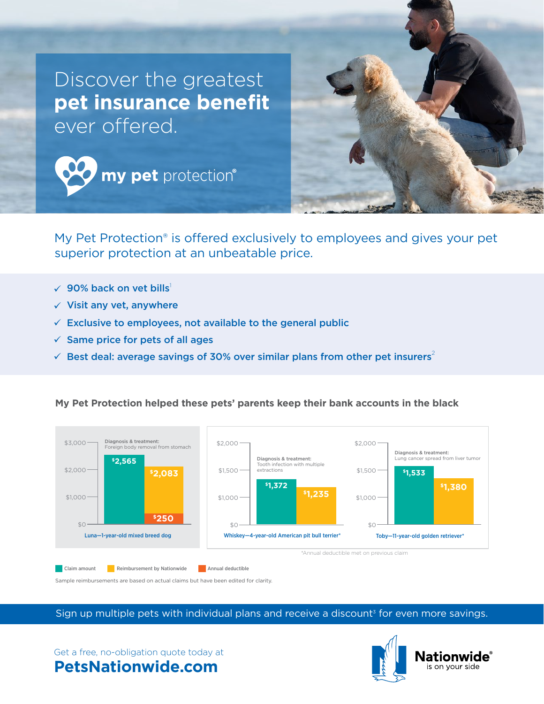

My Pet Protection® is offered exclusively to employees and gives your pet superior protection at an unbeatable price.

- $\sqrt{90\%}$  back on vet bills<sup>1</sup>
- $\checkmark$  Visit any vet, anywhere
- $\checkmark$  Exclusive to employees, not available to the general public
- $\checkmark$  Same price for pets of all ages
- $\checkmark$  Best deal: average savings of 30% over similar plans from other pet insurers<sup>2</sup>

## **My Pet Protection helped these pets' parents keep their bank accounts in the black**



**Claim amount Communisties Annual deductible** 

Sample reimbursements are based on actual claims but have been edited for clarity.

Sign up multiple pets with individual plans and receive a discount<sup>3</sup> for even more savings.



## Get a free, no-obligation quote today at

## **PetsNationwide.com**